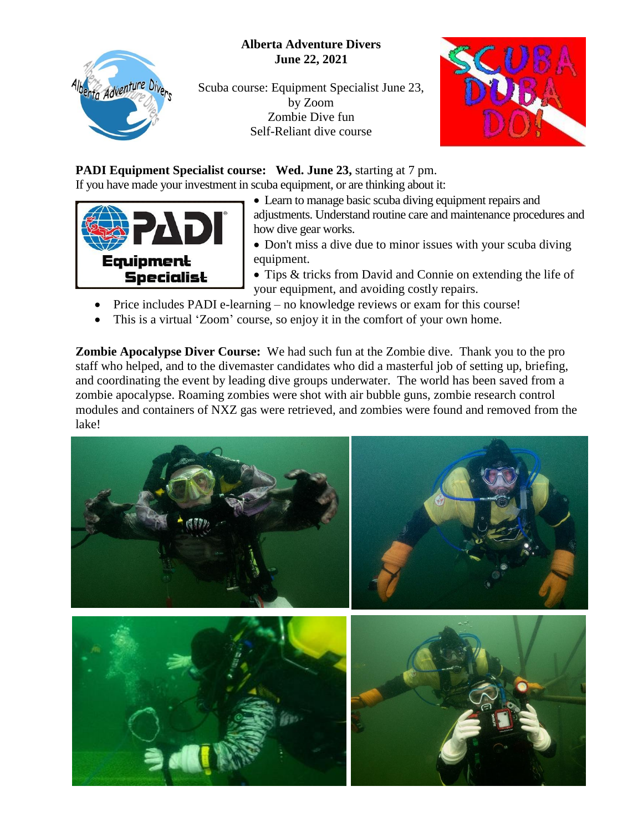## **Alberta Adventure Divers June 22, 2021**



Scuba course: Equipment Specialist June 23, by Zoom Zombie Dive fun Self-Reliant dive course



## **PADI Equipment Specialist course: Wed. June 23, starting at 7 pm.**

If you have made your investment in scuba equipment, or are thinking about it:



- Learn to manage basic scuba diving equipment repairs and adjustments. Understand routine care and maintenance procedures and how dive gear works.
- Don't miss a dive due to minor issues with your scuba diving equipment.
- Tips & tricks from David and Connie on extending the life of your equipment, and avoiding costly repairs.
- Price includes PADI e-learning no knowledge reviews or exam for this course!
- This is a virtual 'Zoom' course, so enjoy it in the comfort of your own home.

**Zombie Apocalypse Diver Course:** We had such fun at the Zombie dive. Thank you to the pro staff who helped, and to the divemaster candidates who did a masterful job of setting up, briefing, and coordinating the event by leading dive groups underwater. The world has been saved from a zombie apocalypse. Roaming zombies were shot with air bubble guns, zombie research control modules and containers of NXZ gas were retrieved, and zombies were found and removed from the lake!